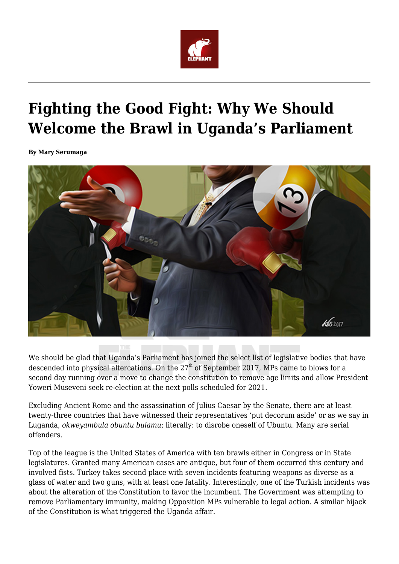

## **Fighting the Good Fight: Why We Should Welcome the Brawl in Uganda's Parliament**

**By Mary Serumaga**



We should be glad that Uganda's Parliament has joined the select list of legislative bodies that have descended into physical altercations. On the 27<sup>th</sup> of September 2017, MPs came to blows for a second day running over a move to change the constitution to remove age limits and allow President Yoweri Museveni seek re-election at the next polls scheduled for 2021.

Excluding Ancient Rome and the assassination of Julius Caesar by the Senate, there are at least twenty-three countries that have witnessed their representatives 'put decorum aside' or as we say in Luganda, *okweyambula obuntu bulamu*; literally: to disrobe oneself of Ubuntu. Many are serial offenders.

Top of the league is the United States of America with ten brawls either in Congress or in State legislatures. Granted many American cases are antique, but four of them occurred this century and involved fists. Turkey takes second place with seven incidents featuring weapons as diverse as a glass of water and two guns, with at least one fatality. Interestingly, one of the Turkish incidents was about the alteration of the Constitution to favor the incumbent. The Government was attempting to remove Parliamentary immunity, making Opposition MPs vulnerable to legal action. A similar hijack of the Constitution is what triggered the Uganda affair.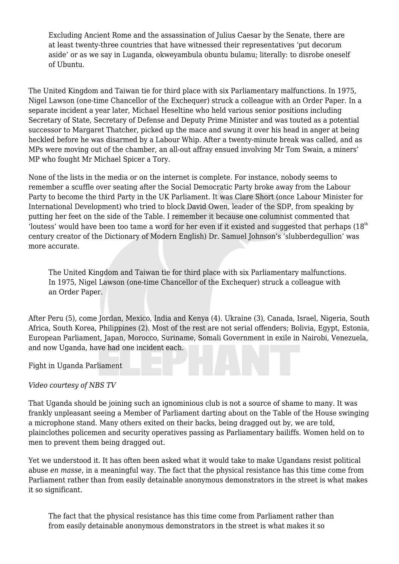Excluding Ancient Rome and the assassination of Julius Caesar by the Senate, there are at least twenty-three countries that have witnessed their representatives 'put decorum aside' or as we say in Luganda, okweyambula obuntu bulamu; literally: to disrobe oneself of Ubuntu.

The United Kingdom and Taiwan tie for third place with six Parliamentary malfunctions. In 1975, Nigel Lawson (one-time Chancellor of the Exchequer) struck a colleague with an Order Paper. In a separate incident a year later, Michael Heseltine who held various senior positions including Secretary of State, Secretary of Defense and Deputy Prime Minister and was touted as a potential successor to Margaret Thatcher, picked up the mace and swung it over his head in anger at being heckled before he was disarmed by a Labour Whip. After a twenty-minute break was called, and as MPs were moving out of the chamber, an all-out affray ensued involving Mr Tom Swain, a miners' MP who fought Mr Michael Spicer a Tory.

None of the lists in the media or on the internet is complete. For instance, nobody seems to remember a scuffle over seating after the Social Democratic Party broke away from the Labour Party to become the third Party in the UK Parliament. It was Clare Short (once Labour Minister for International Development) who tried to block David Owen, leader of the SDP, from speaking by putting her feet on the side of the Table. I remember it because one columnist commented that 'loutess' would have been too tame a word for her even if it existed and suggested that perhaps  $(18<sup>th</sup>$ century creator of the Dictionary of Modern English) Dr. Samuel Johnson's 'slubberdegullion' was more accurate.

The United Kingdom and Taiwan tie for third place with six Parliamentary malfunctions. In 1975, Nigel Lawson (one-time Chancellor of the Exchequer) struck a colleague with an Order Paper.

After Peru (5), come Jordan, Mexico, India and Kenya (4). Ukraine (3), Canada, Israel, Nigeria, South Africa, South Korea, Philippines (2). Most of the rest are not serial offenders; Bolivia, Egypt, Estonia, European Parliament, Japan, Morocco, Suriname, Somali Government in exile in Nairobi, Venezuela, and now Uganda, have had one incident each.

Fight in Uganda Parliament

## *Video courtesy of NBS TV*

That Uganda should be joining such an ignominious club is not a source of shame to many. It was frankly unpleasant seeing a Member of Parliament darting about on the Table of the House swinging a microphone stand. Many others exited on their backs, being dragged out by, we are told, plainclothes policemen and security operatives passing as Parliamentary bailiffs. Women held on to men to prevent them being dragged out.

Yet we understood it. It has often been asked what it would take to make Ugandans resist political abuse *en masse*, in a meaningful way. The fact that the physical resistance has this time come from Parliament rather than from easily detainable anonymous demonstrators in the street is what makes it so significant.

The fact that the physical resistance has this time come from Parliament rather than from easily detainable anonymous demonstrators in the street is what makes it so